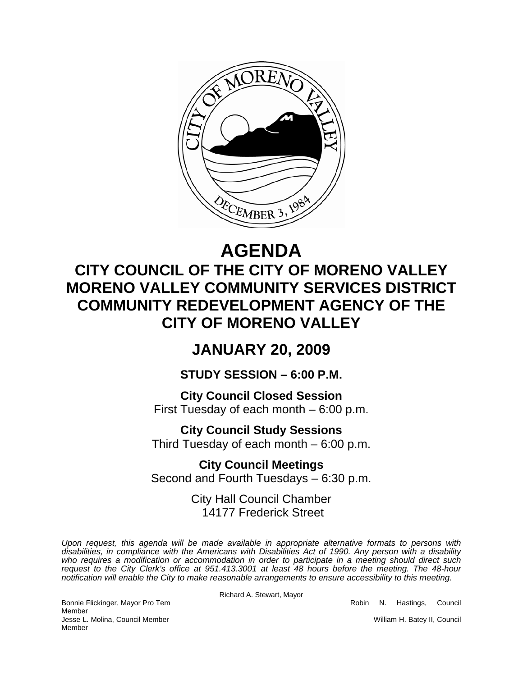

# **AGENDA**

## **CITY COUNCIL OF THE CITY OF MORENO VALLEY MORENO VALLEY COMMUNITY SERVICES DISTRICT COMMUNITY REDEVELOPMENT AGENCY OF THE CITY OF MORENO VALLEY**

### **JANUARY 20, 2009**

### **STUDY SESSION – 6:00 P.M.**

**City Council Closed Session**  First Tuesday of each month – 6:00 p.m.

**City Council Study Sessions**  Third Tuesday of each month – 6:00 p.m.

**City Council Meetings**  Second and Fourth Tuesdays – 6:30 p.m.

> City Hall Council Chamber 14177 Frederick Street

*Upon request, this agenda will be made available in appropriate alternative formats to persons with disabilities, in compliance with the Americans with Disabilities Act of 1990. Any person with a disability*  who requires a modification or accommodation in order to participate in a meeting should direct such *request to the City Clerk's office at 951.413.3001 at least 48 hours before the meeting. The 48-hour notification will enable the City to make reasonable arrangements to ensure accessibility to this meeting.* 

Richard A. Stewart, Mayor

Bonnie Flickinger, Mayor Pro Tem **Robin Strategier and Tem Robin N. Hastings, Council** 

Member Jesse L. Molina, Council Member New York New York 1999 (William H. Batey II, Council Member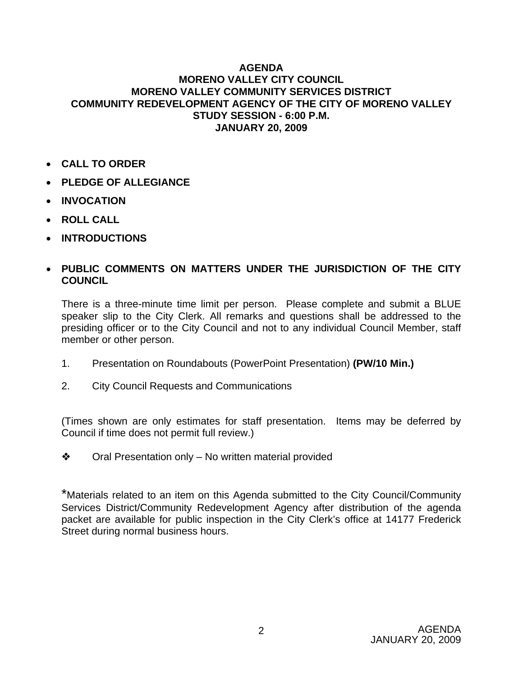#### **AGENDA MORENO VALLEY CITY COUNCIL MORENO VALLEY COMMUNITY SERVICES DISTRICT COMMUNITY REDEVELOPMENT AGENCY OF THE CITY OF MORENO VALLEY STUDY SESSION - 6:00 P.M. JANUARY 20, 2009**

- **CALL TO ORDER**
- **PLEDGE OF ALLEGIANCE**
- **INVOCATION**
- **ROLL CALL**
- **INTRODUCTIONS**

#### • **PUBLIC COMMENTS ON MATTERS UNDER THE JURISDICTION OF THE CITY COUNCIL**

There is a three-minute time limit per person. Please complete and submit a BLUE speaker slip to the City Clerk. All remarks and questions shall be addressed to the presiding officer or to the City Council and not to any individual Council Member, staff member or other person.

- 1. Presentation on Roundabouts (PowerPoint Presentation) **(PW/10 Min.)**
- 2. City Council Requests and Communications

(Times shown are only estimates for staff presentation. Items may be deferred by Council if time does not permit full review.)

 $\triangleleft$  Oral Presentation only – No written material provided

\*Materials related to an item on this Agenda submitted to the City Council/Community Services District/Community Redevelopment Agency after distribution of the agenda packet are available for public inspection in the City Clerk's office at 14177 Frederick Street during normal business hours.